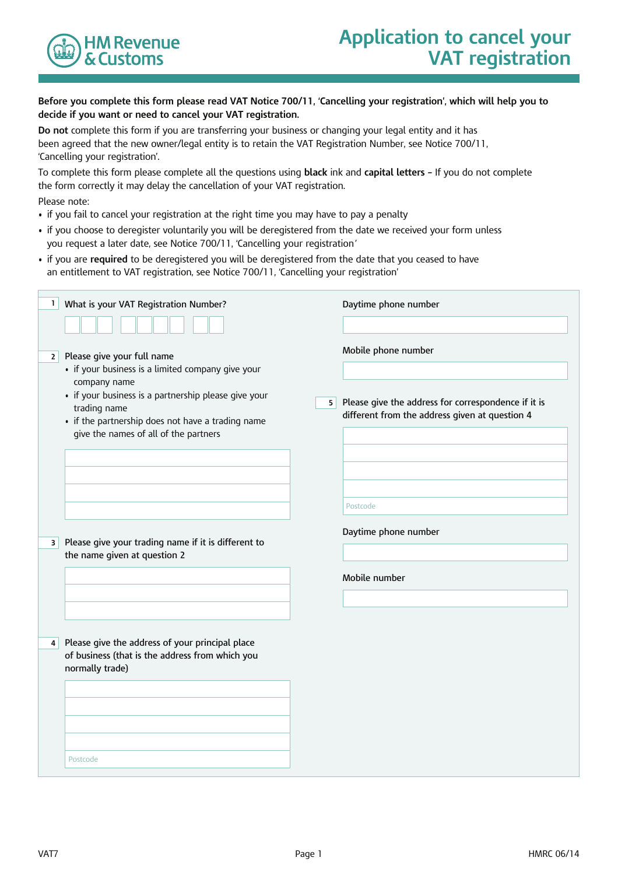

### **Before you complete this form please read VAT Notice 700/11, 'Cancelling your registration', which will help you to decide if you want or need to cancel your VAT registration.**

**Do not** complete this form if you are transferring your business or changing your legal entity and it has been agreed that the new owner/legal entity is to retain the VAT Registration Number, see Notice 700/11, 'Cancelling your registration'.

To complete this form please complete all the questions using **black** ink and **capital letters –** If you do not complete the form correctly it may delay the cancellation of your VAT registration. Please note:

- if you fail to cancel your registration at the right time you may have to pay a penalty
- if you choose to deregister voluntarily you will be deregistered from the date we received your form unless you request a later date, see Notice 700/11, 'Cancelling your registration*'*
- if you are **required** to be deregistered you will be deregistered from the date that you ceased to have an entitlement to VAT registration, see Notice 700/11, 'Cancelling your registration'

| $\mathbf{1}$<br>What is your VAT Registration Number?                                                                                                                                                                                                                                   | Daytime phone number                                                                                                                           |
|-----------------------------------------------------------------------------------------------------------------------------------------------------------------------------------------------------------------------------------------------------------------------------------------|------------------------------------------------------------------------------------------------------------------------------------------------|
| Please give your full name<br>2 <sup>1</sup><br>• if your business is a limited company give your<br>company name<br>• if your business is a partnership please give your<br>trading name<br>• if the partnership does not have a trading name<br>give the names of all of the partners | Mobile phone number<br>Please give the address for correspondence if it is<br>5 <sup>2</sup><br>different from the address given at question 4 |
| Please give your trading name if it is different to<br>$\vert$<br>the name given at question 2                                                                                                                                                                                          | Postcode<br>Daytime phone number<br>Mobile number                                                                                              |
| Please give the address of your principal place<br>4 <sup>1</sup><br>of business (that is the address from which you<br>normally trade)                                                                                                                                                 |                                                                                                                                                |
| Postcode                                                                                                                                                                                                                                                                                |                                                                                                                                                |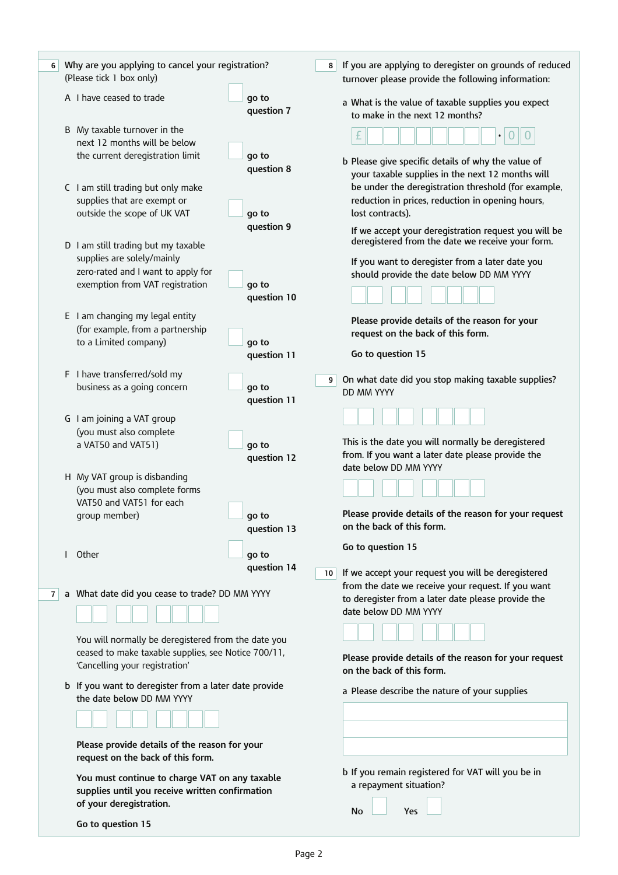| 6 | Why are you applying to cancel your registration?<br>(Please tick 1 box only)                                                                                                                  |                      | 8               | If you are applying to deregister on grounds of reduced<br>turnover please provide the following information:                                                                                                                           |
|---|------------------------------------------------------------------------------------------------------------------------------------------------------------------------------------------------|----------------------|-----------------|-----------------------------------------------------------------------------------------------------------------------------------------------------------------------------------------------------------------------------------------|
|   | A I have ceased to trade                                                                                                                                                                       | go to<br>question 7  |                 | a What is the value of taxable supplies you expect<br>to make in the next 12 months?                                                                                                                                                    |
|   | B My taxable turnover in the<br>next 12 months will be below<br>the current deregistration limit                                                                                               | go to<br>question 8  |                 | £<br>0<br>$\bullet$<br>b Please give specific details of why the value of<br>your taxable supplies in the next 12 months will                                                                                                           |
|   | C I am still trading but only make<br>supplies that are exempt or<br>outside the scope of UK VAT<br>D I am still trading but my taxable                                                        | go to<br>question 9  |                 | be under the deregistration threshold (for example,<br>reduction in prices, reduction in opening hours,<br>lost contracts).<br>If we accept your deregistration request you will be<br>deregistered from the date we receive your form. |
|   | supplies are solely/mainly<br>zero-rated and I want to apply for<br>exemption from VAT registration                                                                                            | go to<br>question 10 |                 | If you want to deregister from a later date you<br>should provide the date below DD MM YYYY                                                                                                                                             |
|   | E I am changing my legal entity<br>(for example, from a partnership<br>to a Limited company)                                                                                                   | go to<br>question 11 |                 | Please provide details of the reason for your<br>request on the back of this form.<br>Go to question 15                                                                                                                                 |
|   | F I have transferred/sold my<br>business as a going concern                                                                                                                                    | go to<br>question 11 | 9 <sup>1</sup>  | On what date did you stop making taxable supplies?<br>DD MM YYYY                                                                                                                                                                        |
|   | G I am joining a VAT group<br>(you must also complete<br>a VAT50 and VAT51)                                                                                                                    | go to<br>question 12 |                 | This is the date you will normally be deregistered<br>from. If you want a later date please provide the                                                                                                                                 |
|   | H My VAT group is disbanding<br>(you must also complete forms<br>VAT50 and VAT51 for each<br>group member)                                                                                     | ao to<br>question 13 |                 | date below DD MM YYYY<br>Please provide details of the reason for your request<br>on the back of this form.                                                                                                                             |
|   | I Other                                                                                                                                                                                        | go to<br>question 14 | 10 <sup>1</sup> | Go to question 15<br>If we accept your request you will be deregistered                                                                                                                                                                 |
| 7 | a What date did you cease to trade? DD MM YYYY<br>You will normally be deregistered from the date you<br>ceased to make taxable supplies, see Notice 700/11,<br>'Cancelling your registration' |                      |                 | from the date we receive your request. If you want<br>to deregister from a later date please provide the<br>date below DD MM YYYY<br>Please provide details of the reason for your request<br>on the back of this form.                 |
|   | b If you want to deregister from a later date provide<br>the date below DD MM YYYY<br>Please provide details of the reason for your                                                            |                      |                 | a Please describe the nature of your supplies                                                                                                                                                                                           |
|   | request on the back of this form.<br>You must continue to charge VAT on any taxable<br>supplies until you receive written confirmation<br>of your deregistration.<br>Go to question 15         |                      |                 | b If you remain registered for VAT will you be in<br>a repayment situation?<br>No<br>Yes                                                                                                                                                |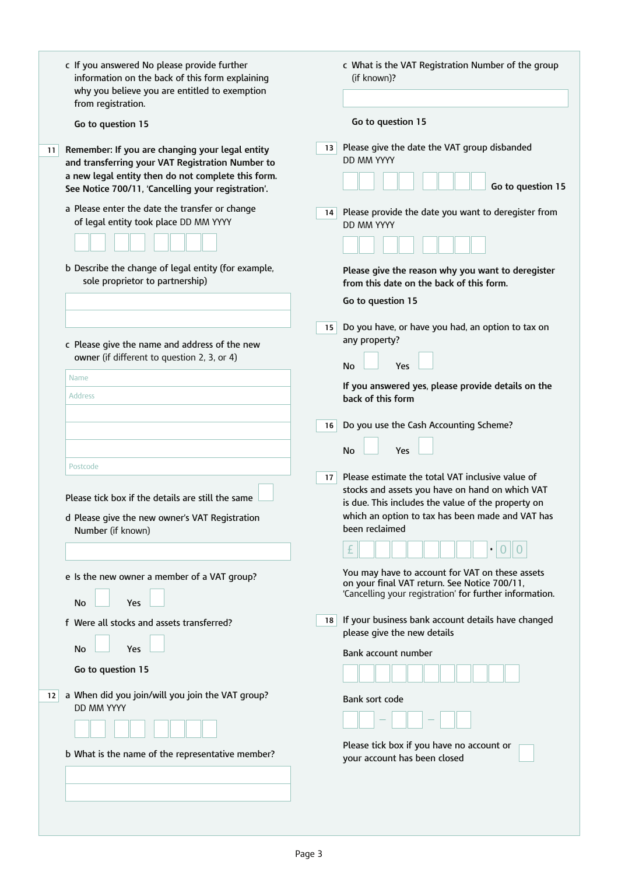|                 | c If you answered No please provide further<br>information on the back of this form explaining<br>why you believe you are entitled to exemption<br>from registration.                                           |                 | c What is the VAT Registration Number of the group<br>(if known)?                                                                                                                                                               |
|-----------------|-----------------------------------------------------------------------------------------------------------------------------------------------------------------------------------------------------------------|-----------------|---------------------------------------------------------------------------------------------------------------------------------------------------------------------------------------------------------------------------------|
|                 | Go to question 15                                                                                                                                                                                               |                 | Go to question 15                                                                                                                                                                                                               |
| 11 <sup>1</sup> | Remember: If you are changing your legal entity<br>and transferring your VAT Registration Number to<br>a new legal entity then do not complete this form.<br>See Notice 700/11, 'Cancelling your registration'. | 13 <sup>1</sup> | Please give the date the VAT group disbanded<br>DD MM YYYY<br>Go to question 15                                                                                                                                                 |
|                 | a Please enter the date the transfer or change<br>of legal entity took place DD MM YYYY                                                                                                                         | 14              | Please provide the date you want to deregister from<br><b>DD MM YYYY</b>                                                                                                                                                        |
|                 | b Describe the change of legal entity (for example,<br>sole proprietor to partnership)                                                                                                                          |                 | Please give the reason why you want to deregister<br>from this date on the back of this form.                                                                                                                                   |
|                 |                                                                                                                                                                                                                 |                 | Go to question 15                                                                                                                                                                                                               |
|                 | c Please give the name and address of the new                                                                                                                                                                   | 15 <sup>1</sup> | Do you have, or have you had, an option to tax on<br>any property?                                                                                                                                                              |
|                 | owner (if different to question 2, 3, or 4)                                                                                                                                                                     |                 | Yes<br><b>No</b>                                                                                                                                                                                                                |
|                 | Name<br><b>Address</b>                                                                                                                                                                                          |                 | If you answered yes, please provide details on the<br>back of this form                                                                                                                                                         |
|                 |                                                                                                                                                                                                                 | 16              | Do you use the Cash Accounting Scheme?                                                                                                                                                                                          |
|                 |                                                                                                                                                                                                                 |                 | <b>No</b><br>Yes                                                                                                                                                                                                                |
|                 | Postcode<br>Please tick box if the details are still the same<br>d Please give the new owner's VAT Registration<br>Number (if known)                                                                            | 17 <sup>1</sup> | Please estimate the total VAT inclusive value of<br>stocks and assets you have on hand on which VAT<br>is due. This includes the value of the property on<br>which an option to tax has been made and VAT has<br>been reclaimed |
|                 | e Is the new owner a member of a VAT group?<br>No<br>Yes                                                                                                                                                        |                 | You may have to account for VAT on these assets<br>on your final VAT return. See Notice 700/11,<br>'Cancelling your registration' for further information.                                                                      |
|                 | f Were all stocks and assets transferred?                                                                                                                                                                       | 18              | If your business bank account details have changed<br>please give the new details                                                                                                                                               |
|                 | <b>No</b><br>Yes<br>Go to question 15                                                                                                                                                                           |                 | Bank account number                                                                                                                                                                                                             |
| 12 <sub>1</sub> | a When did you join/will you join the VAT group?<br><b>DD MM YYYY</b>                                                                                                                                           |                 | Bank sort code                                                                                                                                                                                                                  |
|                 |                                                                                                                                                                                                                 |                 |                                                                                                                                                                                                                                 |
|                 | b What is the name of the representative member?                                                                                                                                                                |                 | Please tick box if you have no account or<br>your account has been closed                                                                                                                                                       |
|                 |                                                                                                                                                                                                                 |                 |                                                                                                                                                                                                                                 |